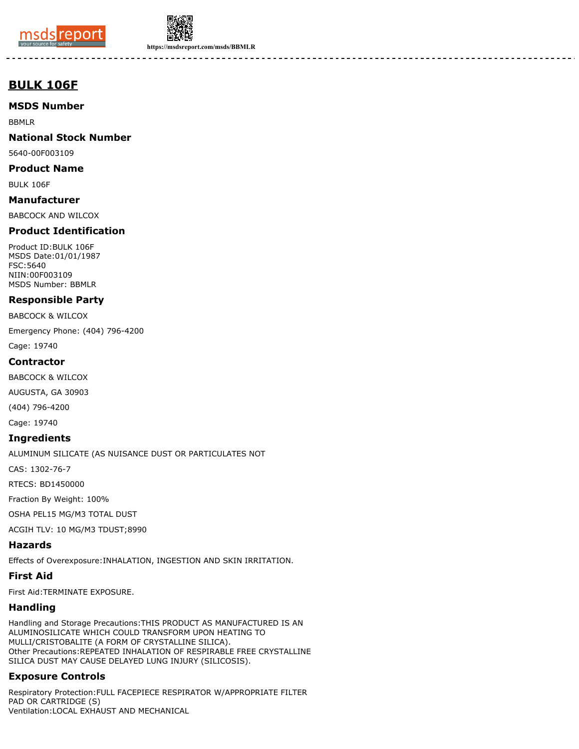



**https://msdsreport.com/msds/BBMLR**

-------

# **BULK 106F**

## **MSDS Number**

BBMLR

## **National Stock Number**

5640-00F003109

#### **Product Name**

BULK 106F

## **Manufacturer**

BABCOCK AND WILCOX

## **Product Identification**

Product ID:BULK 106F MSDS Date:01/01/1987 FSC:5640 NIIN:00F003109 MSDS Number: BBMLR

## **Responsible Party**

BABCOCK & WILCOX

Emergency Phone: (404) 796-4200

Cage: 19740

#### **Contractor**

BABCOCK & WILCOX

AUGUSTA, GA 30903

(404) 796-4200

Cage: 19740

#### **Ingredients**

ALUMINUM SILICATE (AS NUISANCE DUST OR PARTICULATES NOT

CAS: 1302-76-7

RTECS: BD1450000

Fraction By Weight: 100%

OSHA PEL15 MG/M3 TOTAL DUST

ACGIH TLV: 10 MG/M3 TDUST;8990

#### **Hazards**

Effects of Overexposure:INHALATION, INGESTION AND SKIN IRRITATION.

## **First Aid**

First Aid:TERMINATE EXPOSURE.

## **Handling**

Handling and Storage Precautions:THIS PRODUCT AS MANUFACTURED IS AN ALUMINOSILICATE WHICH COULD TRANSFORM UPON HEATING TO MULLI/CRISTOBALITE (A FORM OF CRYSTALLINE SILICA). Other Precautions:REPEATED INHALATION OF RESPIRABLE FREE CRYSTALLINE SILICA DUST MAY CAUSE DELAYED LUNG INJURY (SILICOSIS).

## **Exposure Controls**

Respiratory Protection:FULL FACEPIECE RESPIRATOR W/APPROPRIATE FILTER PAD OR CARTRIDGE (S) Ventilation:LOCAL EXHAUST AND MECHANICAL